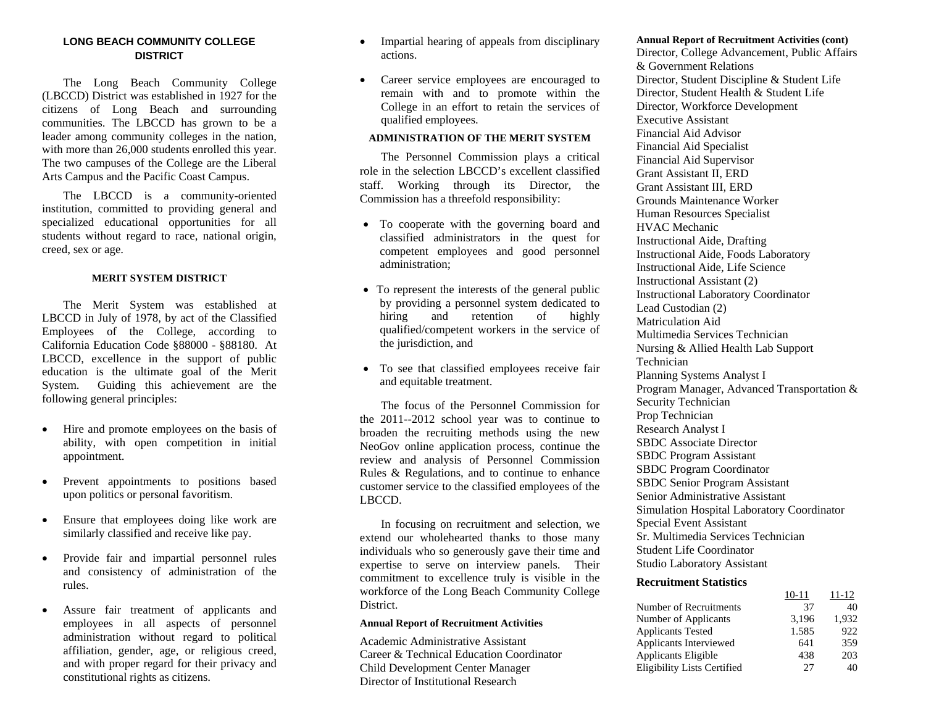## **LONG BEACH COMMUNITY COLLEGE DISTRICT**

 The Long Beach Community College (LBCCD) District was established in 1927 for the citizens of Long Beach and surrounding communities. The LBCCD has grown to be a leader among community colleges in the nation, with more than 26,000 students enrolled this year. The two campuses of the College are the Liberal Arts Campus and the Pacific Coast Campus.

 The LBCCD is a community-oriented institution, committed to providing general and specialized educational opportunities for all students without regard to race, national origin, creed, sex or age.

#### **MERIT SYSTEM DISTRICT**

 The Merit System was established at LBCCD in July of 1978, by act of the Classified Employees of the College, according to California Education Code §88000 - §88180. At LBCCD, excellence in the support of public education is the ultimate goal of the Merit System. Guiding this achievement are the following general principles:

- $\bullet$  Hire and promote employees on the basis of ability, with open competition in initial appointment.
- $\bullet$  Prevent appointments to positions based upon politics or personal favoritism.
- $\bullet$  Ensure that employees doing like work are similarly classified and receive like pay.
- $\bullet$  Provide fair and impartial personnel rules and consistency of administration of the rules.
- $\bullet$  Assure fair treatment of applicants and employees in all aspects of personnel administration without regard to political affiliation, gender, age, or religious creed, and with proper regard for their privacy and constitutional rights as citizens.
- $\bullet$  Impartial hearing of appeals from disciplinary actions.
- $\bullet$  Career service employees are encouraged to remain with and to promote within the College in an effort to retain the services of qualified employees.

#### **ADMINISTRATION OF THE MERIT SYSTEM**

 The Personnel Commission plays a critical role in the selection LBCCD's excellent classified staff. Working through its Director, the Commission has a threefold responsibility:

- To cooperate with the governing board and classified administrators in the quest for competent employees and good personnel administration;
- To represent the interests of the general public by providing a personnel system dedicated to hiring and retention of highly qualified/competent workers in the service of the jurisdiction, and
- To see that classified employees receive fair and equitable treatment.

 The focus of the Personnel Commission for the 2011--2012 school year was to continue to broaden the recruiting methods using the new NeoGov online application process, continue the review and analysis of Personnel Commission Rules & Regulations, and to continue to enhance customer service to the classified employees of the LBCCD.

 In focusing on recruitment and selection, we extend our wholehearted thanks to those many individuals who so generously gave their time and expertise to serve on interview panels. Their commitment to excellence truly is visible in the workforce of the Long Beach Community College District.

#### **Annual Report of Recruitment Activities**

Academic Administrative Assistant Career & Technical Education Coordinator Child Development Center Manager Director of Institutional Research

#### **Annual Report of Recruitment Activities (cont)**

Director, College Advancement, Public Affairs & Government Relations Director, Student Discipline & Student Life Director, Student Health & Student Life Director, Workforce Development Executive Assistant Financial Aid Advisor Financial Aid Specialist Financial Aid Supervisor Grant Assistant II, ERD Grant Assistant III, ERD Grounds Maintenance Worker Human Resources Specialist HVAC Mechanic Instructional Aide, Drafting Instructional Aide, Foods Laboratory Instructional Aide, Life Science Instructional Assistant (2) Instructional Laboratory Coordinator Lead Custodian (2) Matriculation Aid Multimedia Services Technician Nursing & Allied Health Lab Support Technician Planning Systems Analyst I Program Manager, Advanced Transportation & Security Technician Prop Technician Research Analyst I SBDC Associate Director SBDC Program Assistant SBDC Program Coordinator SBDC Senior Program Assistant Senior Administrative Assistant Simulation Hospital Laboratory Coordinator Special Event Assistant Sr. Multimedia Services Technician Student Life Coordinator Studio Laboratory Assistant

#### **Recruitment Statistics**

|                                    |       | 11-12 |
|------------------------------------|-------|-------|
| Number of Recruitments             | 37    | 40    |
| Number of Applicants               | 3,196 | 1.932 |
| <b>Applicants Tested</b>           | 1.585 | 922   |
| Applicants Interviewed             | 641   | 359   |
| Applicants Eligible                | 438   | 203   |
| <b>Eligibility Lists Certified</b> | 27    | 40    |
|                                    |       |       |